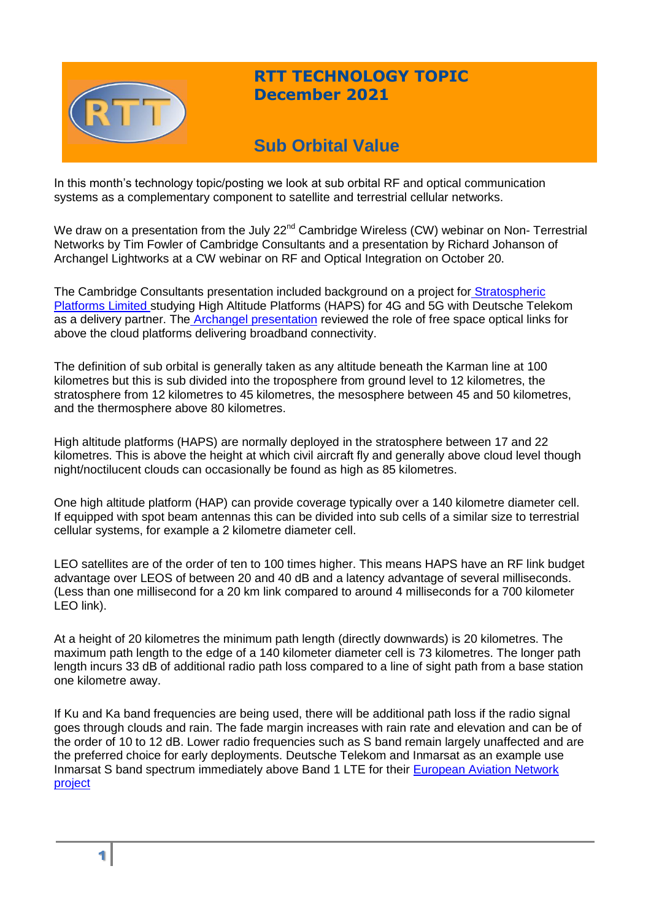

# **RTT TECHNOLOGY TOPIC December 2021**

# **Sub Orbital Value**

In this month's technology topic/posting we look at sub orbital RF and optical communication systems as a complementary component to satellite and terrestrial cellular networks.

We draw on a presentation from the July 22<sup>nd</sup> Cambridge Wireless (CW) webinar on Non- Terrestrial Networks by Tim Fowler of Cambridge Consultants and a presentation by Richard Johanson of Archangel Lightworks at a CW webinar on RF and Optical Integration on October 20.

The Cambridge Consultants presentation included background on a project for [Stratospheric](https://www.stratosphericplatforms.com/)  [Platforms Limited s](https://www.stratosphericplatforms.com/)tudying High Altitude Platforms (HAPS) for 4G and 5G with Deutsche Telekom as a delivery partner. The [Archangel presentation](https://www.cambridgewireless.co.uk/media/uploads/files/Heritage_20.10.21_R.Johanson.pdf) reviewed the role of free space optical links for above the cloud platforms delivering broadband connectivity.

The definition of sub orbital is generally taken as any altitude beneath the Karman line at 100 kilometres but this is sub divided into the troposphere from ground level to 12 kilometres, the stratosphere from 12 kilometres to 45 kilometres, the mesosphere between 45 and 50 kilometres, and the thermosphere above 80 kilometres.

High altitude platforms (HAPS) are normally deployed in the stratosphere between 17 and 22 kilometres. This is above the height at which civil aircraft fly and generally above cloud level though night/noctilucent clouds can occasionally be found as high as 85 kilometres.

One high altitude platform (HAP) can provide coverage typically over a 140 kilometre diameter cell. If equipped with spot beam antennas this can be divided into sub cells of a similar size to terrestrial cellular systems, for example a 2 kilometre diameter cell.

LEO satellites are of the order of ten to 100 times higher. This means HAPS have an RF link budget advantage over LEOS of between 20 and 40 dB and a latency advantage of several milliseconds. (Less than one millisecond for a 20 km link compared to around 4 milliseconds for a 700 kilometer LEO link).

At a height of 20 kilometres the minimum path length (directly downwards) is 20 kilometres. The maximum path length to the edge of a 140 kilometer diameter cell is 73 kilometres. The longer path length incurs 33 dB of additional radio path loss compared to a line of sight path from a base station one kilometre away.

If Ku and Ka band frequencies are being used, there will be additional path loss if the radio signal goes through clouds and rain. The fade margin increases with rain rate and elevation and can be of the order of 10 to 12 dB. Lower radio frequencies such as S band remain largely unaffected and are the preferred choice for early deployments. Deutsche Telekom and Inmarsat as an example use Inmarsat S band spectrum immediately above Band 1 LTE for their [European Aviation Network](https://www.inmarsat.com/en/solutions-services/aviation/services/european-aviation-network.html)  [project](https://www.inmarsat.com/en/solutions-services/aviation/services/european-aviation-network.html)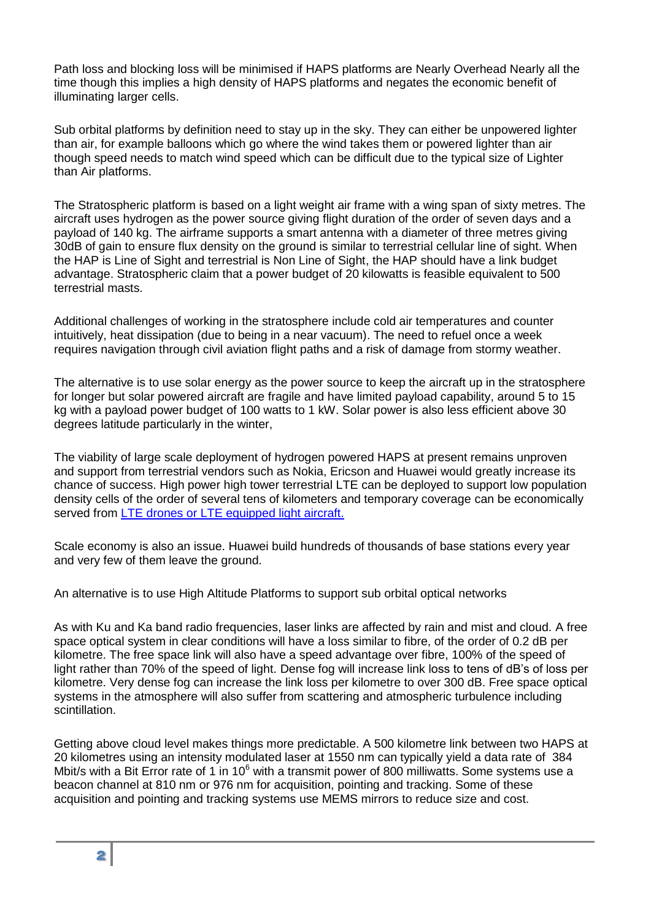Path loss and blocking loss will be minimised if HAPS platforms are Nearly Overhead Nearly all the time though this implies a high density of HAPS platforms and negates the economic benefit of illuminating larger cells.

Sub orbital platforms by definition need to stay up in the sky. They can either be unpowered lighter than air, for example balloons which go where the wind takes them or powered lighter than air though speed needs to match wind speed which can be difficult due to the typical size of Lighter than Air platforms.

The Stratospheric platform is based on a light weight air frame with a wing span of sixty metres. The aircraft uses hydrogen as the power source giving flight duration of the order of seven days and a payload of 140 kg. The airframe supports a smart antenna with a diameter of three metres giving 30dB of gain to ensure flux density on the ground is similar to terrestrial cellular line of sight. When the HAP is Line of Sight and terrestrial is Non Line of Sight, the HAP should have a link budget advantage. Stratospheric claim that a power budget of 20 kilowatts is feasible equivalent to 500 terrestrial masts.

Additional challenges of working in the stratosphere include cold air temperatures and counter intuitively, heat dissipation (due to being in a near vacuum). The need to refuel once a week requires navigation through civil aviation flight paths and a risk of damage from stormy weather.

The alternative is to use solar energy as the power source to keep the aircraft up in the stratosphere for longer but solar powered aircraft are fragile and have limited payload capability, around 5 to 15 kg with a payload power budget of 100 watts to 1 kW. Solar power is also less efficient above 30 degrees latitude particularly in the winter,

The viability of large scale deployment of hydrogen powered HAPS at present remains unproven and support from terrestrial vendors such as Nokia, Ericson and Huawei would greatly increase its chance of success. High power high tower terrestrial LTE can be deployed to support low population density cells of the order of several tens of kilometers and temporary coverage can be economically served from [LTE drones or LTE equipped light aircraft.](http://www.uasmagazine.com/articles/1718/verizon-explains-flying-cell-site-drone-project)

Scale economy is also an issue. Huawei build hundreds of thousands of base stations every year and very few of them leave the ground.

An alternative is to use High Altitude Platforms to support sub orbital optical networks

As with Ku and Ka band radio frequencies, laser links are affected by rain and mist and cloud. A free space optical system in clear conditions will have a loss similar to fibre, of the order of 0.2 dB per kilometre. The free space link will also have a speed advantage over fibre, 100% of the speed of light rather than 70% of the speed of light. Dense fog will increase link loss to tens of dB's of loss per kilometre. Very dense fog can increase the link loss per kilometre to over 300 dB. Free space optical systems in the atmosphere will also suffer from scattering and atmospheric turbulence including scintillation.

Getting above cloud level makes things more predictable. A 500 kilometre link between two HAPS at 20 kilometres using an intensity modulated laser at 1550 nm can typically yield a data rate of 384 Mbit/s with a Bit Error rate of 1 in 10<sup>6</sup> with a transmit power of 800 milliwatts. Some systems use a beacon channel at 810 nm or 976 nm for acquisition, pointing and tracking. Some of these acquisition and pointing and tracking systems use MEMS mirrors to reduce size and cost.